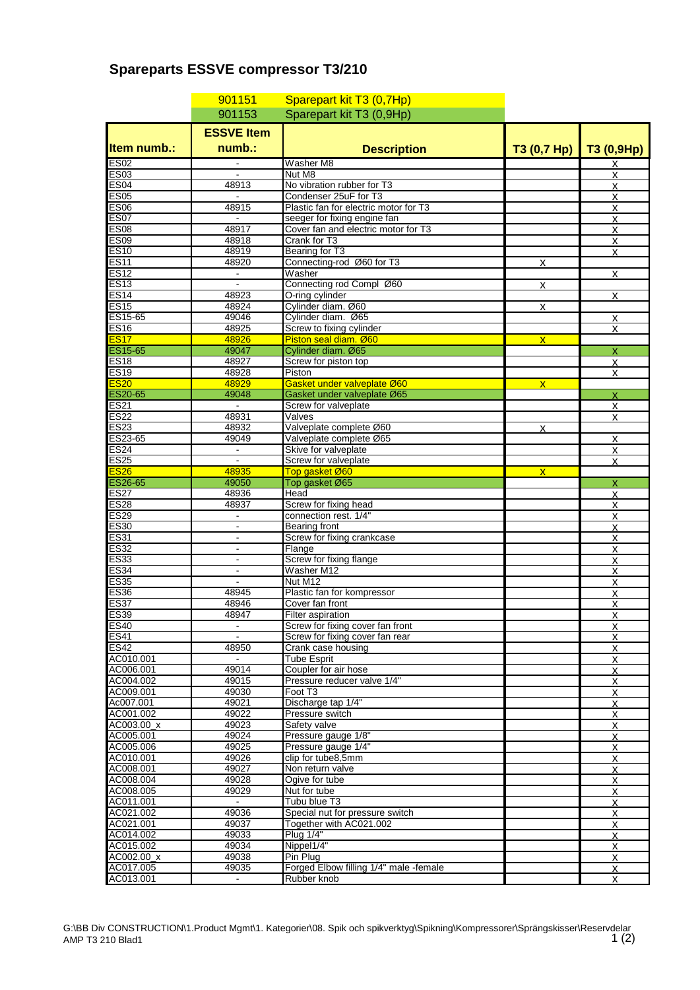## **Spareparts ESSVE compressor T3/210**

|                            | 901151            | Sparepart kit T3 (0,7Hp)               |                         |                         |
|----------------------------|-------------------|----------------------------------------|-------------------------|-------------------------|
|                            | 901153            | Sparepart kit T3 (0,9Hp)               |                         |                         |
|                            | <b>ESSVE Item</b> |                                        |                         |                         |
|                            |                   |                                        |                         |                         |
| <b>Item numb.:</b>         | $numb$ .:         | <b>Description</b>                     | T3 (0,7 Hp)             | T3 (0,9Hp)              |
| ES <sub>02</sub>           | $\blacksquare$    | Washer M8                              |                         | x                       |
| <b>ES03</b>                |                   | Nut M8                                 |                         | X                       |
| <b>ES04</b>                | 48913             | No vibration rubber for T3             |                         | $\overline{\mathsf{X}}$ |
| <b>ES05</b>                |                   | Condenser 25uF for T3                  |                         | $\pmb{\times}$          |
| <b>ES06</b>                | 48915             | Plastic fan for electric motor for T3  |                         | x                       |
| <b>ES07</b>                |                   | seeger for fixing engine fan           |                         | $\pmb{\times}$          |
| <b>ES08</b>                | 48917             | Cover fan and electric motor for T3    |                         | $\pmb{\times}$          |
| <b>ES09</b>                | 48918             | Crank for T3                           |                         | X                       |
| <b>ES10</b>                | 48919             | Bearing for T3                         |                         | x                       |
| <b>ES11</b>                | 48920             | Connecting-rod Ø60 for T3              | X                       |                         |
| <b>ES12</b>                |                   | Washer                                 |                         | $\overline{\mathsf{X}}$ |
| <b>ES13</b>                |                   | Connecting rod Compl Ø60               | X                       |                         |
| <b>ES14</b>                | 48923             | O-ring cylinder                        |                         | X                       |
| <b>ES15</b>                | 48924             | Cylinder diam. Ø60                     | X                       |                         |
| ES15-65                    | 49046             | Cylinder diam. Ø65                     |                         | $\overline{\mathsf{X}}$ |
| <b>ES16</b>                | 48925             | Screw to fixing cylinder               |                         | x                       |
| <b>ES17</b>                | 48926             | Piston seal diam. Ø60                  | $\overline{\mathsf{x}}$ |                         |
| ES15-65                    | 49047             | Cylinder diam. Ø65                     |                         | $\mathsf{x}$            |
| <b>ES18</b>                | 48927             | Screw for piston top                   |                         | X                       |
| <b>ES19</b>                | 48928             | Piston                                 |                         | $\overline{\mathsf{X}}$ |
| <b>ES20</b>                | 48929             | Gasket under valveplate Ø60            | $\overline{\mathsf{x}}$ |                         |
| ES20-65                    | 49048             | Gasket under valveplate Ø65            |                         | $\mathsf{x}$            |
| <b>ES21</b><br><b>ES22</b> | $\blacksquare$    | Screw for valveplate                   |                         | X                       |
| <b>ES23</b>                | 48931<br>48932    | Valves<br>Valveplate complete Ø60      |                         | X                       |
| ES23-65                    | 49049             | Valveplate complete Ø65                | X                       |                         |
| <b>ES24</b>                | $\blacksquare$    | Skive for valveplate                   |                         | $\pmb{\mathsf{X}}$      |
| <b>ES25</b>                | $\overline{a}$    | Screw for valveplate                   |                         | X<br>X                  |
| <b>ES26</b>                | 48935             | Top gasket Ø60                         | $\mathbf{X}$            |                         |
| ES26-65                    | 49050             | Top gasket Ø65                         |                         | X                       |
| <b>ES27</b>                | 48936             | Head                                   |                         | x                       |
| <b>ES28</b>                | 48937             | Screw for fixing head                  |                         | x                       |
| <b>ES29</b>                | $\blacksquare$    | connection rest. 1/4"                  |                         | X                       |
| <b>ES30</b>                | $\blacksquare$    | Bearing front                          |                         | x                       |
| <b>ES31</b>                | ä,                | Screw for fixing crankcase             |                         | $\overline{\mathsf{X}}$ |
| <b>ES32</b>                | $\blacksquare$    | Flange                                 |                         | $\pmb{\times}$          |
| <b>ES33</b>                | $\blacksquare$    | Screw for fixing flange                |                         | X                       |
| <b>ES34</b>                | $\blacksquare$    | Washer M12                             |                         | x                       |
| <b>ES35</b>                |                   | Nut M12                                |                         | x                       |
| <b>ES36</b>                | 48945             | Plastic fan for kompressor             |                         | X                       |
| <b>ES37</b>                | 48946             | Cover fan front                        |                         | x                       |
| <b>ES39</b>                | 48947             | Filter aspiration                      |                         | x                       |
| ES40                       |                   | Screw for fixing cover fan front       |                         | <u>х</u>                |
| <b>ES41</b>                |                   | Screw for fixing cover fan rear        |                         | $\overline{\mathsf{X}}$ |
| <b>ES42</b>                | 48950             | Crank case housing                     |                         | x                       |
| AC010.001                  |                   | <b>Tube Esprit</b>                     |                         | $\mathbf{x}$            |
| AC006.001                  | 49014             | Coupler for air hose                   |                         | X                       |
| AC004.002                  | 49015             | Pressure reducer valve 1/4"            |                         | $\overline{\mathsf{X}}$ |
| AC009.001                  | 49030             | Foot T <sub>3</sub>                    |                         | X                       |
| Ac007.001                  | 49021             | Discharge tap 1/4"                     |                         | <u>х</u>                |
| AC001.002                  | 49022             | Pressure switch                        |                         | $\overline{\mathsf{X}}$ |
| AC003.00_x                 | 49023             | Safety valve                           |                         | X                       |
| AC005.001                  | 49024             | Pressure gauge 1/8"                    |                         | X                       |
| AC005.006                  | 49025             | Pressure gauge 1/4"                    |                         | x                       |
| AC010.001                  | 49026             | clip for tube8,5mm                     |                         | $\overline{\mathsf{x}}$ |
| AC008.001                  | 49027             | Non return valve                       |                         | $\overline{\mathsf{X}}$ |
| AC008.004                  | 49028             | Ogive for tube                         |                         | x                       |
| AC008.005                  | 49029             | Nut for tube                           |                         | $\overline{\mathsf{X}}$ |
| AC011.001                  | $\sim$            | Tubu blue T3                           |                         | $\overline{\mathsf{x}}$ |
| AC021.002                  | 49036             | Special nut for pressure switch        |                         | X                       |
| AC021.001                  | 49037             | Together with AC021.002                |                         | $\overline{\mathsf{X}}$ |
| AC014.002                  | 49033             | Plug 1/4"                              |                         | $\overline{\mathsf{X}}$ |
| AC015.002                  | 49034<br>49038    | Nippel1/4"<br>Pin Plug                 |                         | x                       |
| AC002.00_x<br>AC017.005    | 49035             | Forged Elbow filling 1/4" male -female |                         | X                       |
| AC013.001                  | $\blacksquare$    | Rubber knob                            |                         | X                       |
|                            |                   |                                        |                         | x                       |